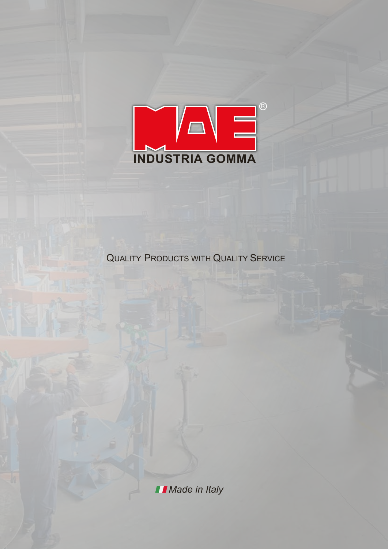

**QUALITY PRODUCTS WITH QUALITY SERVICE** 

**I** Made in Italy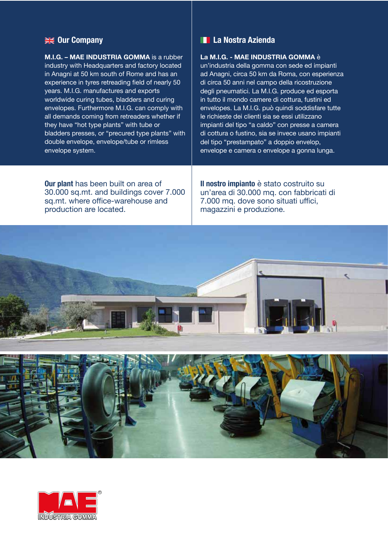### **Our Company**

**M.I.G. – MAE INDUSTRIA GOMMA** is a rubber industry with Headquarters and factory located in Anagni at 50 km south of Rome and has an experience in tyres retreading field of nearly 50 years. M.I.G. manufactures and exports worldwide curing tubes, bladders and curing envelopes. Furthermore M.I.G. can comply with all demands coming from retreaders whether if they have "hot type plants" with tube or bladders presses, or "precured type plants" with double envelope, envelope/tube or rimless envelope system.

### **La Nostra Azienda**

**La M.I.G. - MAE INDUSTRIA GOMMA** è

un'industria della gomma con sede ed impianti ad Anagni, circa 50 km da Roma, con esperienza di circa 50 anni nel campo della ricostruzione degli pneumatici. La M.I.G. produce ed esporta in tutto il mondo camere di cottura, fustini ed envelopes. La M.I.G. può quindi soddisfare tutte le richieste dei clienti sia se essi utilizzano impianti del tipo "a caldo" con presse a camera di cottura o fustino, sia se invece usano impianti del tipo "prestampato" a doppio envelop, envelope e camera o envelope a gonna lunga.

**Our plant** has been built on area of 30.000 sq.mt. and buildings cover 7.000 sq.mt. where office-warehouse and production are located.

**Il nostro impianto** è stato costruito su un'area di 30.000 mq. con fabbricati di 7.000 mq. dove sono situati uffici, magazzini e produzione.



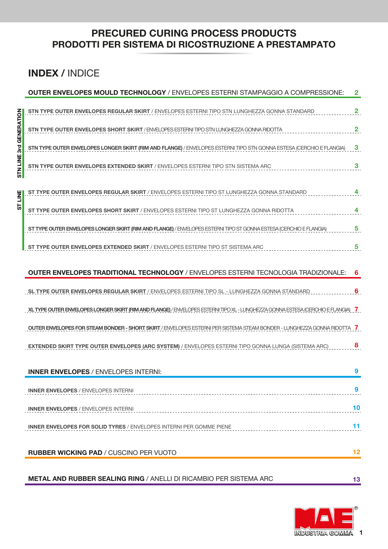### **PRECURED CURING PROCESS PRODUCTS PRODOTTI PER SISTEMA DI RICOSTRUZIONE A PRESTAMPATO**

## **INDEX /** INDICE

|                 | <b>OUTER ENVELOPES MOULD TECHNOLOGY / ENVELOPES ESTERNI STAMPAGGIO A COMPRESSIONE:</b>                                           | $\mathbf{2}$            |
|-----------------|----------------------------------------------------------------------------------------------------------------------------------|-------------------------|
|                 | STN TYPE OUTER ENVELOPES REGULAR SKIRT / ENVELOPES ESTERNI TIPO STN LUNGHEZZA GONNA STANDARD                                     | $\overline{\mathbf{2}}$ |
| 3rd GENERATION  | STN TYPE OUTER ENVELOPES SHORT SKIRT / ENVELOPES ESTERNI TIPO STN LUNGHEZZA GONNA RIDOTTA                                        | $\overline{\mathbf{2}}$ |
|                 | STN TYPE OUTER ENVELOPES LONGER SKIRT (RIM AND FLANGE) / ENVELOPES ESTERNI TIPO STN GONNA ESTESA (CERCHIO E FLANGIA)             | 3                       |
| <b>STN LINE</b> | <b>STN TYPE OUTER ENVELOPES EXTENDED SKIRT / ENVELOPES ESTERNI TIPO STN SISTEMA ARC</b>                                          | 3                       |
| <b>NE</b>       | ST TYPE OUTER ENVELOPES REGULAR SKIRT / ENVELOPES ESTERNI TIPO ST LUNGHEZZA GONNA STANDARD                                       | 4                       |
| 57              | ST TYPE OUTER ENVELOPES SHORT SKIRT / ENVELOPES ESTERNI TIPO ST LUNGHEZZA GONNA RIDOTTA                                          | 4                       |
|                 | ST TYPE OUTER ENVELOPES LONGER SKIRT (RIM AND FLANGE) / ENVELOPES ESTERNI TIPO ST GONNA ESTESA (CERCHIO E FLANGIA)               | 5                       |
|                 | ST TYPE OUTER ENVELOPES EXTENDED SKIRT / ENVELOPES ESTERNI TIPO ST SISTEMA ARC                                                   | 5                       |
|                 | OUTER ENVELOPES TRADITIONAL TECHNOLOGY / ENVELOPES ESTERNI TECNOLOGIA TRADIZIONALE:                                              | 6                       |
|                 | SL TYPE OUTER ENVELOPES REGULAR SKIRT / ENVELOPES ESTERNI TIPO SL - LUNGHEZZA GONNA STANDARD                                     | 6                       |
|                 | XL TYPE OUTER ENVELOPES LONGER SKIRT (RIM AND FLANGE) / ENVELOPES ESTERNI TIPO XL - LUNGHEZZA GONNA ESTESA (CERCHIO E FLANGIA) 7 |                         |
|                 | OUTER ENVELOPES FOR STEAM BONDER - SHORT SKIRT / ENVELOPES ESTERNI PER SISTEMA STEAM BONDER - LUNGHEZZA GONNA RIDOTTA 7          |                         |
|                 | <b>EXTENDED SKIRT TYPE OUTER ENVELOPES (ARC SYSTEM)</b> / ENVELOPES ESTERNI TIPO GONNA LUNGA (SISTEMA ARC)                       | 8                       |
|                 | <b>INNER ENVELOPES / ENVELOPES INTERNI:</b>                                                                                      | 9                       |
|                 | <b>INNER ENVELOPES / ENVELOPES INTERNI</b>                                                                                       | 9                       |
|                 | <b>INNER ENVELOPES / ENVELOPES INTERNI</b>                                                                                       | 10                      |
|                 |                                                                                                                                  |                         |
|                 | <b>INNER ENVELOPES FOR SOLID TYRES / ENVELOPES INTERNI PER GOMME PIENE</b>                                                       | 11                      |
|                 | <b>RUBBER WICKING PAD / CUSCINO PER VUOTO</b>                                                                                    | 12                      |

**METAL AND RUBBER SEALING RING** / ANELLI DI RICAMBIO PER SISTEMA ARC



**13**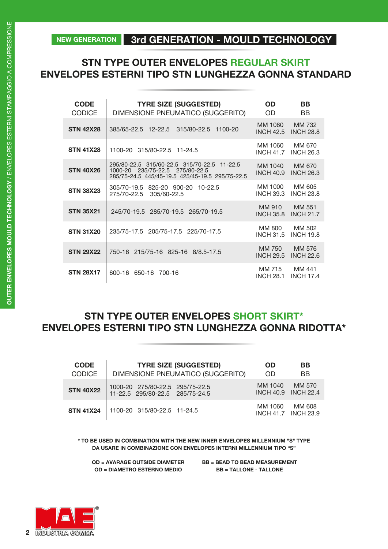### **NEW GENERATION 3rd GENERATION - MOULD TECHNOLOGY**

### **STN TYPE OUTER ENVELOPES REGULAR SKIRT ENVELOPES ESTERNI TIPO STN LUNGHEZZA GONNA STANDARD**

| <b>CODE</b><br><b>CODICE</b> | <b>TYRE SIZE (SUGGESTED)</b><br>DIMENSIONE PNEUMATICO (SUGGERITO)                                                                 | <b>OD</b><br>OD.            | <b>BB</b><br><b>BB</b>     |
|------------------------------|-----------------------------------------------------------------------------------------------------------------------------------|-----------------------------|----------------------------|
| <b>STN 42X28</b>             | 315/80-22.5 1100-20<br>385/65-22.5 12-22.5                                                                                        | MM 1080<br><b>INCH 42.5</b> | MM 732<br><b>INCH 28.8</b> |
| <b>STN 41X28</b>             | 1100-20 315/80-22.5 11-24.5                                                                                                       | MM 1060<br><b>INCH 41.7</b> | MM 670<br><b>INCH 26.3</b> |
| <b>STN 40X26</b>             | 295/80-22.5 315/60-22.5 315/70-22.5 11-22.5<br>1000-20 235/75-22.5 275/80-22.5<br>285/75-24.5 445/45-19.5 425/45-19.5 295/75-22.5 | MM 1040<br><b>INCH 40.9</b> | MM 670<br><b>INCH 26.3</b> |
| <b>STN 38X23</b>             | 305/70-19.5 825-20 900-20<br>$10 - 22.5$<br>275/70-22.5<br>305/60-22.5                                                            | MM 1000<br><b>INCH 39.3</b> | MM 605<br><b>INCH 23.8</b> |
| <b>STN 35X21</b>             | 245/70-19.5 285/70-19.5 265/70-19.5                                                                                               | MM 910<br><b>INCH 35.8</b>  | MM 551<br><b>INCH 21.7</b> |
| <b>STN 31X20</b>             | 235/75-17.5 205/75-17.5 225/70-17.5                                                                                               | MM 800<br><b>INCH 31.5</b>  | MM 502<br><b>INCH 19.8</b> |
| <b>STN 29X22</b>             | 215/75-16 825-16 8/8.5-17.5<br>750-16                                                                                             | MM 750<br><b>INCH 29.5</b>  | MM 576<br><b>INCH 22.6</b> |
| <b>STN 28X17</b>             | 600-16 650-16<br>700-16                                                                                                           | MM 715<br><b>INCH 28.1</b>  | MM 441<br><b>INCH 17.4</b> |

### **STN TYPE OUTER ENVELOPES SHORT SKIRT\* ENVELOPES ESTERNI TIPO STN LUNGHEZZA GONNA RIDOTTA\***

| <b>CODE</b>      | <b>TYRE SIZE (SUGGESTED)</b>      | <b>OD</b>                   | <b>BB</b>          |
|------------------|-----------------------------------|-----------------------------|--------------------|
| <b>CODICE</b>    | DIMENSIONE PNEUMATICO (SUGGERITO) | <b>OD</b>                   | <b>BB</b>          |
| <b>STN 40X22</b> | 1000-20 275/80-22.5 295/75-22.5   | MM 1040                     | MM 570             |
|                  | 11-22.5 295/80-22.5 285/75-24.5   | <b>INCH 40.9</b>            | <b>INCH 22.4</b>   |
| <b>STN 41X24</b> | 1100-20 315/80-22.5 11-24.5       | MM 1060<br><b>INCH 41.7</b> | MM 608<br>NCH 23.9 |

**\* TO BE USED IN COMBINATION WITH THE NEW INNER ENVELOPES MILLENNIUM "S" TYPE DA USARE IN COMBINAZIONE CON ENVELOPES INTERNI MILLENNIUM TIPO "S"**

**OD = AVARAGE OUTSIDE DIAMETER OD = DIAMETRO ESTERNO MEDIO**

**BB = BEAD TO BEAD MEASUREMENT BB = TALLONE - TALLONE**

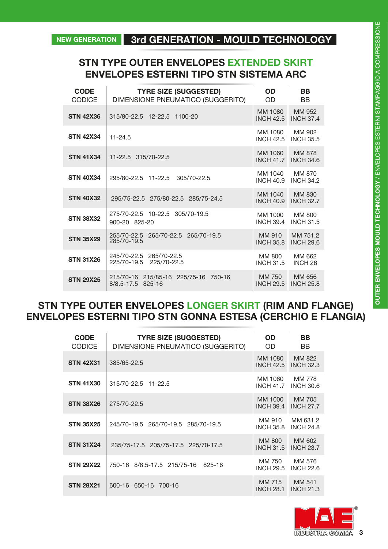### **STN TYPE OUTER ENVELOPES EXTENDED SKIRT ENVELOPES ESTERNI TIPO STN SISTEMA ARC**

| <b>CODE</b><br><b>CODICE</b> | <b>TYRE SIZE (SUGGESTED)</b><br>DIMENSIONE PNEUMATICO (SUGGERITO) | <b>OD</b><br>OD             | <b>BB</b><br><b>BB</b>            |
|------------------------------|-------------------------------------------------------------------|-----------------------------|-----------------------------------|
| <b>STN 42X36</b>             | 315/80-22.5 12-22.5 1100-20                                       | MM 1080<br><b>INCH 42.5</b> | MM 952<br><b>INCH 37.4</b>        |
| <b>STN 42X34</b>             | $11 - 24.5$                                                       | MM 1080<br><b>INCH 42.5</b> | MM 902<br><b>INCH 35.5</b>        |
| <b>STN 41X34</b>             | 11-22.5 315/70-22.5                                               | MM 1060<br><b>INCH 41.7</b> | <b>MM 878</b><br><b>INCH 34.6</b> |
| <b>STN 40X34</b>             | 305/70-22.5<br>295/80-22.5<br>11-22.5                             | MM 1040<br><b>INCH 40.9</b> | MM 870<br><b>INCH 34.2</b>        |
| <b>STN 40X32</b>             | 295/75-22.5 275/80-22.5 285/75-24.5                               | MM 1040<br><b>INCH 40.9</b> | MM 830<br><b>INCH 32.7</b>        |
| <b>STN 38X32</b>             | 275/70-22.5 10-22.5 305/70-19.5<br>900-20 825-20                  | MM 1000<br><b>INCH 39.4</b> | MM 800<br><b>INCH 31.5</b>        |
| <b>STN 35X29</b>             | 255/70-22.5<br>265/70-22.5 265/70-19.5<br>285/70-19.5             | MM 910<br><b>INCH 35.8</b>  | MM 751.2<br><b>INCH 29.6</b>      |
| <b>STN 31X26</b>             | 245/70-22.5<br>265/70-22.5<br>225/70-19.5<br>225/70-22.5          | MM 800<br><b>INCH 31.5</b>  | MM 662<br>INCH <sub>26</sub>      |
| <b>STN 29X25</b>             | 215/70-16 215/85-16<br>225/75-16<br>750-16<br>8/8.5-17.5 825-16   | MM 750<br><b>INCH 29.5</b>  | MM 656<br><b>INCH 25.8</b>        |

### **STN TYPE OUTER ENVELOPES LONGER SKIRT (RIM AND FLANGE) ENVELOPES ESTERNI TIPO STN GONNA ESTESA (CERCHIO E FLANGIA)**

| <b>CODE</b><br><b>CODICE</b> | <b>TYRE SIZE (SUGGESTED)</b><br>DIMENSIONE PNEUMATICO (SUGGERITO) | OD<br>OD.                   | BB<br><b>BB</b>                   |
|------------------------------|-------------------------------------------------------------------|-----------------------------|-----------------------------------|
| <b>STN 42X31</b>             | 385/65-22.5                                                       | MM 1080<br><b>INCH 42.5</b> | MM 822<br><b>INCH 32.3</b>        |
| <b>STN 41X30</b>             | 315/70-22.5 11-22.5                                               | MM 1060<br><b>INCH 41.7</b> | <b>MM 778</b><br><b>INCH 30.6</b> |
| <b>STN 38X26</b>             | 275/70-22.5                                                       | MM 1000<br><b>INCH 39.4</b> | MM 705<br><b>INCH 27.7</b>        |
| <b>STN 35X25</b>             | 245/70-19.5 265/70-19.5 285/70-19.5                               | MM 910<br><b>INCH 35.8</b>  | MM 631.2<br><b>INCH 24.8</b>      |
| <b>STN 31X24</b>             | 235/75-17.5 205/75-17.5 225/70-17.5                               | MM 800<br><b>INCH 31.5</b>  | MM 602<br><b>INCH 23.7</b>        |
| <b>STN 29X22</b>             | 750-16 8/8.5-17.5 215/75-16<br>825-16                             | MM 750<br><b>INCH 29.5</b>  | MM 576<br><b>INCH 22.6</b>        |
| <b>STN 28X21</b>             | 600-16<br>650-16<br>700-16                                        | MM 715<br><b>INCH 28.1</b>  | MM 541<br><b>INCH 21.3</b>        |

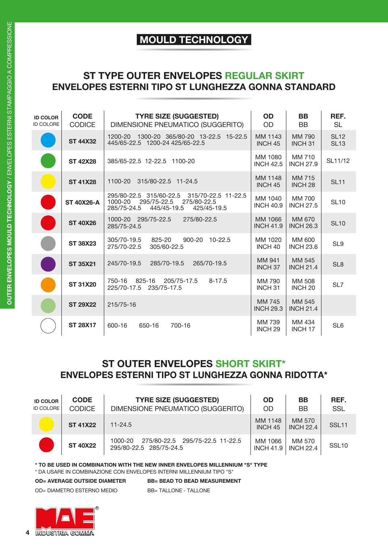## **MOULD TECHNOLOGY**

### **ST TYPE OUTER ENVELOPES REGULAR SKIRT ENVELOPES ESTERNI TIPO ST LUNGHEZZA GONNA STANDARD**

| <b>ID COLOR</b><br><b>ID COLORE</b> | <b>CODE</b><br><b>CODICE</b> | <b>TYRE SIZE (SUGGESTED)</b><br>DIMENSIONE PNEUMATICO (SUGGERITO)                                                                    | <b>OD</b><br>OD               | <b>BB</b><br><b>BB</b>         | REF.<br><b>SL</b>          |
|-------------------------------------|------------------------------|--------------------------------------------------------------------------------------------------------------------------------------|-------------------------------|--------------------------------|----------------------------|
|                                     | <b>ST 44X32</b>              | 1300-20 365/80-20 13-22.5 15-22.5<br>1200-20<br>445/65-22.5 1200-24 425/65-22.5                                                      | MM 1143<br>INCH <sub>45</sub> | <b>MM 790</b><br><b>INCH31</b> | <b>SL12</b><br><b>SL13</b> |
|                                     | <b>ST 42X28</b>              | 385/65-22.5 12-22.5 1100-20                                                                                                          | MM 1080<br><b>INCH 42.5</b>   | MM 710<br><b>INCH 27.9</b>     | SL11/12                    |
|                                     | <b>ST 41X28</b>              | 315/80-22.5 11-24.5<br>1100-20                                                                                                       | MM 1148<br>INCH <sub>45</sub> | MM 715<br>INCH <sub>28</sub>   | <b>SL11</b>                |
|                                     | <b>ST 40X26-A</b>            | 295/80-22.5 315/60-22.5<br>315/70-22.5 11-22.5<br>1000-20<br>295/75-22.5<br>275/80-22.5<br>285/75-24.5<br>445/45-19.5<br>425/45-19.5 | MM 1040<br><b>INCH 40.9</b>   | MM 700<br><b>INCH 27.5</b>     | <b>SL10</b>                |
|                                     | <b>ST 40X26</b>              | 1000-20 295/75-22.5<br>275/80-22.5<br>285/75-24.5                                                                                    | MM 1066<br><b>INCH 41.9</b>   | MM 670<br><b>INCH 26.3</b>     | <b>SL10</b>                |
|                                     | <b>ST 38X23</b>              | 305/70-19.5<br>825-20<br>900-20<br>$10 - 22.5$<br>275/70-22.5<br>305/60-22.5                                                         | MM 1020<br>INCH <sub>40</sub> | MM 600<br><b>INCH 23.6</b>     | SL9                        |
|                                     | <b>ST 35X21</b>              | 265/70-19.5<br>245/70-19.5<br>285/70-19.5                                                                                            | MM 941<br>INCH <sub>37</sub>  | MM 545<br><b>INCH 21.4</b>     | SL <sub>8</sub>            |
|                                     | <b>ST 31X20</b>              | 825-16<br>750-16<br>205/75-17.5<br>$8 - 17.5$<br>225/70-17.5<br>235/75-17.5                                                          | MM 790<br>INCH <sub>31</sub>  | MM 508<br>INCH <sub>20</sub>   | SL7                        |
|                                     | <b>ST 29X22</b>              | 215/75-16                                                                                                                            | MM 745<br><b>INCH 29.3</b>    | MM 545<br><b>INCH 21.4</b>     |                            |
|                                     | <b>ST 28X17</b>              | 600-16<br>650-16<br>700-16                                                                                                           | MM 739<br>INCH <sub>29</sub>  | MM 434<br>INCH <sub>17</sub>   | SL <sub>6</sub>            |

### **ST OUTER ENVELOPES SHORT SKIRT\* ENVELOPES ESTERNI TIPO ST LUNGHEZZA GONNA RIDOTTA\***

| <b>ID COLOR</b><br><b>ID COLORE</b> | <b>CODE</b><br><b>CODICE</b> | <b>TYRE SIZE (SUGGESTED)</b><br>DIMENSIONE PNEUMATICO (SUGGERITO)     | <b>OD</b><br>OD.              | BB<br><b>BB</b>            | REF.<br><b>SSL</b> |
|-------------------------------------|------------------------------|-----------------------------------------------------------------------|-------------------------------|----------------------------|--------------------|
|                                     | <b>ST 41X22</b>              | $11 - 24.5$                                                           | MM 1148<br>INCH <sub>45</sub> | MM 570<br><b>INCH 22.4</b> | SSL <sub>11</sub>  |
|                                     | <b>ST 40X22</b>              | 275/80-22.5 295/75-22.5 11-22.5<br>1000-20<br>295/80-22.5 285/75-24.5 | MM 1066<br><b>INCH 41.9</b>   | MM 570<br><b>INCH 22.4</b> | SSL <sub>10</sub>  |

**\* TO BE USED IN COMBINATION WITH THE NEW INNER ENVELOPES MILLENNIUM "S" TYPE** 

\* DA USARE IN COMBINAZIONE CON ENVELOPES INTERNI MILLENNIUM TIPO "S"

**OD= AVERAGE OUTSIDE DIAMETER BB= BEAD TO BEAD MEASUREMENT**

OD= DIAMETRO ESTERNO MEDIOBB= TALLONE - TALLONE

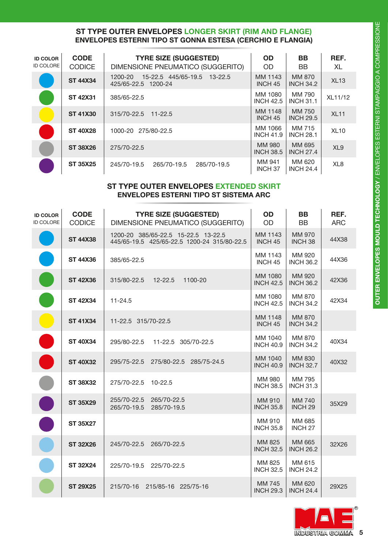### **ST TYPE OUTER ENVELOPES LONGER SKIRT (RIM AND FLANGE) ENVELOPES ESTERNI TIPO ST GONNA ESTESA (CERCHIO E FLANGIA)**

| <b>ID COLOR</b><br><b>ID COLORE</b> | <b>CODE</b><br><b>CODICE</b> | <b>TYRE SIZE (SUGGESTED)</b><br>DIMENSIONE PNEUMATICO (SUGGERITO) | <b>OD</b><br><b>OD</b>        | BB<br><b>BB</b>            | REF.<br>XL      |
|-------------------------------------|------------------------------|-------------------------------------------------------------------|-------------------------------|----------------------------|-----------------|
|                                     | <b>ST 44X34</b>              | 15-22.5 445/65-19.5 13-22.5<br>1200-20<br>425/65-22.5 1200-24     | MM 1143<br>INCH <sub>45</sub> | MM 870<br><b>INCH 34.2</b> | XL13            |
|                                     | <b>ST 42X31</b>              | 385/65-22.5                                                       | MM 1080<br><b>INCH 42.5</b>   | MM 790<br><b>INCH 31.1</b> | XL11/12         |
|                                     | <b>ST 41X30</b>              | 315/70-22.5<br>$11 - 22.5$                                        | MM 1148<br>INCH <sub>45</sub> | MM 750<br><b>INCH 29.5</b> | <b>XL11</b>     |
|                                     | <b>ST 40X28</b>              | 1000-20 275/80-22.5                                               | MM 1066<br><b>INCH 41.9</b>   | MM 715<br><b>INCH 28.1</b> | <b>XL10</b>     |
|                                     | <b>ST 38X26</b>              | 275/70-22.5                                                       | MM 980<br><b>INCH 38.5</b>    | MM 695<br><b>INCH 27.4</b> | XL <sub>9</sub> |
|                                     | <b>ST 35X25</b>              | 245/70-19.5<br>265/70-19.5<br>285/70-19.5                         | MM 941<br>INCH <sub>37</sub>  | MM 620<br><b>INCH 24.4</b> | XL <sub>8</sub> |

### **ST TYPE OUTER ENVELOPES EXTENDED SKIRT ENVELOPES ESTERNI TIPO ST SISTEMA ARC**

| <b>ID COLOR</b><br><b>ID COLORE</b> | <b>CODE</b><br><b>CODICE</b> | <b>TYRE SIZE (SUGGESTED)</b><br>DIMENSIONE PNEUMATICO (SUGGERITO)                  | <b>OD</b><br>OD               | <b>BB</b><br><b>BB</b>       | REF.<br><b>ARC</b> |
|-------------------------------------|------------------------------|------------------------------------------------------------------------------------|-------------------------------|------------------------------|--------------------|
|                                     | <b>ST 44X38</b>              | 1200-20 385/65-22.5 15-22.5 13-22.5<br>445/65-19.5 425/65-22.5 1200-24 315/80-22.5 | MM 1143<br>INCH <sub>45</sub> | MM 970<br>INCH <sub>38</sub> | 44X38              |
|                                     | <b>ST 44X36</b>              | 385/65-22.5                                                                        | MM 1143<br>INCH <sub>45</sub> | MM 920<br><b>INCH 36.2</b>   | 44X36              |
|                                     | <b>ST 42X36</b>              | 315/80-22.5<br>$12 - 22.5$<br>1100-20                                              | MM 1080<br><b>INCH 42.5</b>   | MM 920<br><b>INCH 36.2</b>   | 42X36              |
|                                     | <b>ST 42X34</b>              | $11 - 24.5$                                                                        | MM 1080<br><b>INCH 42.5</b>   | MM 870<br><b>INCH 34.2</b>   | 42X34              |
|                                     | <b>ST 41X34</b>              | 11-22.5 315/70-22.5                                                                | MM 1148<br>INCH <sub>45</sub> | MM 870<br><b>INCH 34.2</b>   |                    |
|                                     | <b>ST 40X34</b>              | 295/80-22.5<br>11-22.5 305/70-22.5                                                 | MM 1040<br><b>INCH 40.9</b>   | MM 870<br><b>INCH 34.2</b>   | 40X34              |
|                                     | <b>ST 40X32</b>              | 295/75-22.5<br>275/80-22.5 285/75-24.5                                             | MM 1040<br><b>INCH 40.9</b>   | MM 830<br><b>INCH 32.7</b>   | 40X32              |
|                                     | <b>ST 38X32</b>              | 275/70-22.5<br>$10 - 22.5$                                                         | MM 980<br><b>INCH 38.5</b>    | MM 795<br><b>INCH 31.3</b>   |                    |
|                                     | <b>ST 35X29</b>              | 255/70-22.5<br>265/70-22.5<br>265/70-19.5<br>285/70-19.5                           | MM 910<br><b>INCH 35.8</b>    | MM 740<br>INCH <sub>29</sub> | 35X29              |
|                                     | <b>ST 35X27</b>              |                                                                                    | MM 910<br><b>INCH 35.8</b>    | MM 685<br>INCH <sub>27</sub> |                    |
|                                     | <b>ST 32X26</b>              | 245/70-22.5 265/70-22.5                                                            | MM 825<br><b>INCH 32.5</b>    | MM 665<br><b>INCH 26.2</b>   | 32X26              |
|                                     | <b>ST 32X24</b>              | 225/70-19.5<br>225/70-22.5                                                         | MM 825<br><b>INCH 32.5</b>    | MM 615<br><b>INCH 24.2</b>   |                    |
|                                     | <b>ST 29X25</b>              | 215/70-16<br>215/85-16 225/75-16                                                   | MM 745<br><b>INCH 29.3</b>    | MM 620<br><b>INCH 24.4</b>   | 29X25              |

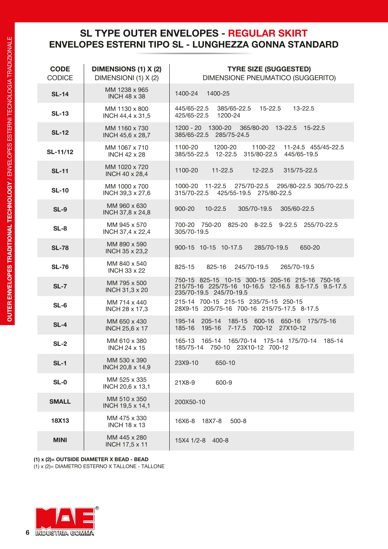### **SL TYPE OUTER ENVELOPES - REGULAR SKIRT ENVELOPES ESTERNI TIPO SL - LUNGHEZZA GONNA STANDARD**

| <b>CODE</b><br><b>CODICE</b> | <b>DIMENSIONS (1) X (2)</b><br>DIMENSIONI (1) X (2) | <b>TYRE SIZE (SUGGESTED)</b><br>DIMENSIONE PNEUMATICO (SUGGERITO)                                                                   |
|------------------------------|-----------------------------------------------------|-------------------------------------------------------------------------------------------------------------------------------------|
| <b>SL-14</b>                 | MM 1238 x 965<br><b>INCH 48 x 38</b>                | 1400-24 1400-25                                                                                                                     |
| <b>SL-13</b>                 | MM 1130 x 800<br>INCH 44,4 x 31,5                   | 385/65-22.5<br>445/65-22.5<br>$15 - 22.5$<br>$13 - 22.5$<br>425/65-22.5<br>1200-24                                                  |
| <b>SL-12</b>                 | MM 1160 x 730<br>INCH 45,6 x 28,7                   | 1200 - 20 1300-20 365/80-20 13-22.5 15-22.5<br>385/65-22.5 285/75-24.5                                                              |
| SL-11/12                     | MM 1067 x 710<br><b>INCH 42 x 28</b>                | 1100-20 1200-20<br>1100-22 11-24.5 455/45-22.5<br>385/55-22.5  12-22.5  315/80-22.5  445/65-19.5                                    |
| <b>SL-11</b>                 | MM 1020 x 720<br>INCH 40 x 28,4                     | 1100-20<br>$11 - 22.5$<br>12-22.5<br>315/75-22.5                                                                                    |
| <b>SL-10</b>                 | MM 1000 x 700<br>INCH 39,3 x 27,6                   | 1000-20 11-22.5 275/70-22.5 295/80-22.5 305/70-22.5<br>315/70-22.5 425/55-19.5 275/80-22.5                                          |
| <b>SL-9</b>                  | MM 960 x 630<br>INCH 37,8 x 24,8                    | $10 - 22.5$<br>$900 - 20$<br>305/70-19.5<br>305/60-22.5                                                                             |
| $SL-8$                       | MM 945 x 570<br>INCH 37,4 x 22,4                    | 700-20 750-20 825-20 8-22.5 9-22.5 255/70-22.5<br>305/70-19.5                                                                       |
| <b>SL-78</b>                 | MM 890 x 590<br>INCH 35 x 23,2                      | 900-15 10-15 10-17.5<br>285/70-19.5<br>650-20                                                                                       |
| <b>SL-76</b>                 | MM 840 x 540<br><b>INCH 33 x 22</b>                 | 245/70-19.5<br>825-15<br>825-16<br>265/70-19.5                                                                                      |
| $SL-7$                       | MM 795 x 500<br>INCH 31,3 x 20                      | 750-15 825-15 10-15 300-15 205-16 215-16 750-16<br>215/75-16 225/75-16 10-16.5 12-16.5 8.5-17.5 9.5-17.5<br>235/70-19.5 245/70-19.5 |
| $SL-6$                       | MM 714 x 440<br>INCH 28 x 17,3                      | 215-14 700-15 215-15 235/75-15 250-15<br>28X9-15 205/75-16 700-16 215/75-17.5 8-17.5                                                |
| $SL-4$                       | MM 650 x 430<br>INCH 25,6 x 17                      | 195-14 205-14 185-15 600-16 650-16 175/75-16<br>185-16 195-16 7-17.5 700-12 27X10-12                                                |
| $SL-2$                       | MM 610 x 380<br><b>INCH 24 x 15</b>                 | 165-13 165-14 165/70-14 175-14 175/70-14<br>185-14<br>185/75-14 750-10 23X10-12 700-12                                              |
| $SL-1$                       | MM 530 x 390<br>INCH 20,8 x 14,9                    | 23X9-10<br>650-10                                                                                                                   |
| $SL-0$                       | MM 525 x 335<br>INCH 20,6 x 13,1                    | 21X8-9<br>600-9                                                                                                                     |
| <b>SMALL</b>                 | MM 510 x 350<br>INCH 19,5 x 14,1                    | 200X50-10                                                                                                                           |
| <b>18X13</b>                 | MM 475 x 330<br><b>INCH 18 x 13</b>                 | 18X7-8<br>16X6-8<br>$500 - 8$                                                                                                       |
| <b>MINI</b>                  | MM 445 x 280<br><b>INCH 17,5 x 11</b>               | 15X4 1/2-8 400-8                                                                                                                    |

**(1) x (2)= OUTSIDE DIAMETER X BEAD - BEAD**

(1) x (2)= DIAMETRO ESTERNO X TALLONE - TALLONE

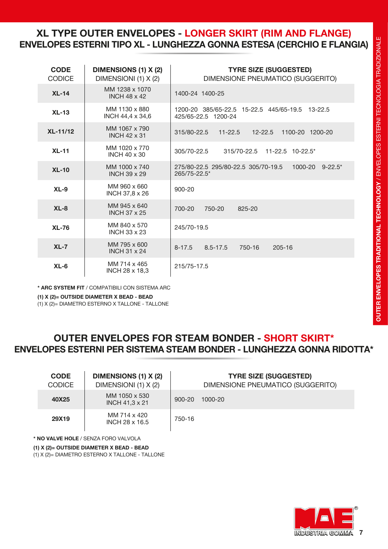### **XL TYPE OUTER ENVELOPES - LONGER SKIRT (RIM AND FLANGE) ENVELOPES ESTERNI TIPO XL - LUNGHEZZA GONNA ESTESA (CERCHIO E FLANGIA)**

| <b>CODE</b><br><b>CODICE</b> | <b>DIMENSIONS (1) X (2)</b><br>DIMENSIONI (1) X (2) | <b>TYRE SIZE (SUGGESTED)</b><br>DIMENSIONE PNEUMATICO (SUGGERITO)              |
|------------------------------|-----------------------------------------------------|--------------------------------------------------------------------------------|
| $XL-14$                      | MM 1238 x 1070<br><b>INCH 48 x 42</b>               | 1400-24 1400-25                                                                |
| $XL-13$                      | MM 1130 x 880<br>INCH 44,4 x 34,6                   | 1200-20 385/65-22.5 15-22.5 445/65-19.5<br>$13 - 22.5$<br>425/65-22.5 1200-24  |
| <b>XL-11/12</b>              | MM 1067 x 790<br><b>INCH 42 x 31</b>                | $11 - 22.5$<br>315/80-22.5<br>$12 - 22.5$<br>1100-20 1200-20                   |
| $XL-11$                      | MM 1020 x 770<br><b>INCH 40 x 30</b>                | 305/70-22.5<br>315/70-22.5 11-22.5 10-22.5*                                    |
| $XL-10$                      | MM 1000 x 740<br><b>INCH 39 x 29</b>                | 1000-20<br>$9 - 22.5^*$<br>275/80-22.5 295/80-22.5 305/70-19.5<br>265/75-22.5* |
| $XL-9$                       | MM 960 x 660<br>INCH 37,8 x 26                      | $900 - 20$                                                                     |
| $XL-8$                       | MM 945 x 640<br><b>INCH 37 x 25</b>                 | 700-20<br>750-20<br>825-20                                                     |
| $XL-76$                      | MM 840 x 570<br><b>INCH 33 x 23</b>                 | 245/70-19.5                                                                    |
| $XL-7$                       | MM 795 x 600<br><b>INCH 31 x 24</b>                 | $8 - 17.5$<br>750-16<br>$205 - 16$<br>$8.5 - 17.5$                             |
| $XL-6$                       | MM 714 x 465<br><b>INCH 28 x 18,3</b>               | 215/75-17.5                                                                    |

**\* ARC SYSTEM FIT** / COMPATIBILI CON SISTEMA ARC

**(1) X (2)= OUTSIDE DIAMETER X BEAD - BEAD**

(1) X (2)= DIAMETRO ESTERNO X TALLONE - TALLONE

### **OUTER ENVELOPES FOR STEAM BONDER - SHORT SKIRT\* ENVELOPES ESTERNI PER SISTEMA STEAM BONDER - LUNGHEZZA GONNA RIDOTTA\***

| <b>CODE</b><br><b>CODICE</b> | <b>DIMENSIONS (1) X (2)</b><br>DIMENSIONI (1) X (2) |            | <b>TYRE SIZE (SUGGESTED)</b><br>DIMENSIONE PNEUMATICO (SUGGERITO) |
|------------------------------|-----------------------------------------------------|------------|-------------------------------------------------------------------|
| 40X25                        | MM 1050 x 530<br><b>INCH 41,3 x 21</b>              | $900 - 20$ | 1000-20                                                           |
| 29X19                        | MM 714 x 420<br>INCH 28 x 16.5                      | 750-16     |                                                                   |

**\* NO VALVE HOLE** / SENZA FORO VALVOLA

**(1) X (2)= OUTSIDE DIAMETER X BEAD - BEAD**

(1) X (2)= DIAMETRO ESTERNO X TALLONE - TALLONE

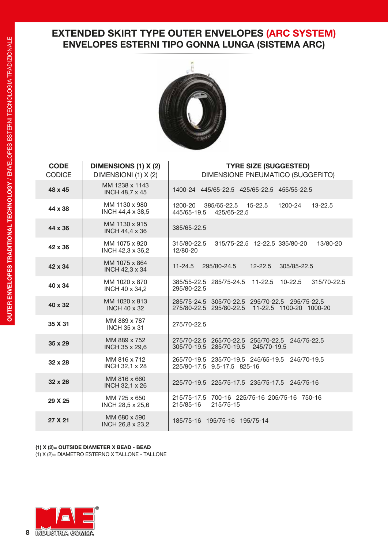### **EXTENDED SKIRT TYPE OUTER ENVELOPES (ARC SYSTEM) ENVELOPES ESTERNI TIPO GONNA LUNGA (SISTEMA ARC)**



| <b>CODE</b><br><b>CODICE</b> | <b>DIMENSIONS (1) X (2)</b><br>DIMENSIONI (1) X (2) | <b>TYRE SIZE (SUGGESTED)</b><br>DIMENSIONE PNEUMATICO (SUGGERITO)                                  |
|------------------------------|-----------------------------------------------------|----------------------------------------------------------------------------------------------------|
| 48 x 45                      | MM 1238 x 1143<br>INCH 48,7 x 45                    | 1400-24 445/65-22.5 425/65-22.5 455/55-22.5                                                        |
| 44 x 38                      | MM 1130 x 980<br>INCH 44,4 x 38,5                   | 385/65-22.5<br>$15 - 22.5$<br>1200-24<br>1200-20<br>$13 - 22.5$<br>445/65-19.5<br>425/65-22.5      |
| 44 x 36                      | MM 1130 x 915<br><b>INCH 44,4 x 36</b>              | 385/65-22.5                                                                                        |
| 42 x 36                      | MM 1075 x 920<br>INCH 42,3 x 36,2                   | 315/80-22.5<br>315/75-22.5 12-22.5 335/80-20<br>13/80-20<br>12/80-20                               |
| 42 x 34                      | MM 1075 x 864<br>INCH 42,3 x 34                     | $11 - 24.5$<br>295/80-24.5<br>$12 - 22.5$<br>305/85-22.5                                           |
| 40 x 34                      | MM 1020 x 870<br>INCH 40 x 34,2                     | 385/55-22.5 285/75-24.5<br>$11 - 22.5$<br>$10 - 22.5$<br>315/70-22.5<br>295/80-22.5                |
| 40 x 32                      | MM 1020 x 813<br><b>INCH 40 x 32</b>                | 285/75-24.5 305/70-22.5 295/70-22.5 295/75-22.5<br>275/80-22.5 295/80-22.5 11-22.5 1100-20 1000-20 |
| 35 X 31                      | MM 889 x 787<br><b>INCH 35 x 31</b>                 | 275/70-22.5                                                                                        |
| $35 \times 29$               | MM 889 x 752<br><b>INCH 35 x 29,6</b>               | 275/70-22.5 265/70-22.5 255/70-22.5<br>245/75-22.5<br>305/70-19.5 285/70-19.5<br>245/70-19.5       |
| $32 \times 28$               | MM 816 x 712<br>INCH 32,1 x 28                      | 265/70-19.5 235/70-19.5 245/65-19.5<br>245/70-19.5<br>225/90-17.5 9.5-17.5 825-16                  |
| $32 \times 26$               | MM 816 x 660<br>INCH 32,1 x 26                      | 225/70-19.5 225/75-17.5 235/75-17.5 245/75-16                                                      |
| 29 X 25                      | MM 725 x 650<br>INCH 28,5 x 25,6                    | 215/75-17.5 700-16 225/75-16 205/75-16 750-16<br>215/85-16<br>215/75-15                            |
| 27 X 21                      | MM 680 x 590<br>INCH 26,8 x 23,2                    | 185/75-16 195/75-16 195/75-14                                                                      |

**(1) X (2)= OUTSIDE DIAMETER X BEAD - BEAD** (1) X (2)= DIAMETRO ESTERNO X TALLONE - TALLONE

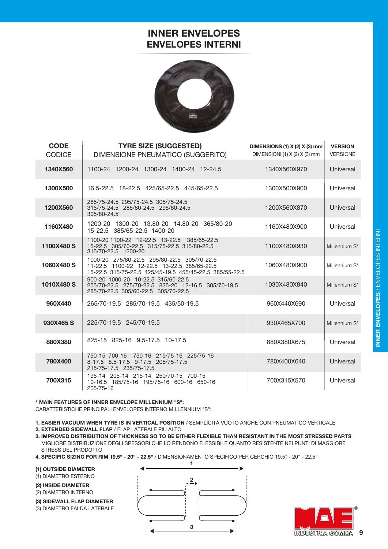### **INNER ENVELOPES ENVELOPES INTERNI**



| <b>CODE</b><br><b>CODICE</b> | <b>TYRE SIZE (SUGGESTED)</b><br>DIMENSIONE PNEUMATICO (SUGGERITO)                                                                                     | DIMENSIONS (1) $X$ (2) $X$ (3) mm<br>DIMENSIONI (1) X (2) X (3) mm | <b>VERSION</b><br><b>VERSIONE</b> |
|------------------------------|-------------------------------------------------------------------------------------------------------------------------------------------------------|--------------------------------------------------------------------|-----------------------------------|
| 1340X560                     | 1100-24 1200-24 1300-24 1400-24 12-24.5                                                                                                               | 1340X560X970                                                       | Universal                         |
| 1300X500                     | 16.5-22.5 18-22.5 425/65-22.5 445/65-22.5                                                                                                             | 1300X500X900                                                       | Universal                         |
| 1200X560                     | 285/75-24.5 295/75-24.5 305/75-24.5<br>315/75-24.5 285/80-24.5 295/80-24.5<br>305/80-24.5                                                             | 1200X560X870                                                       | Universal                         |
| 1160X480                     | 1200-20 1300-20 13.80-20 14.80-20 365/80-20<br>15-22.5 385/65-22.5 1400-20                                                                            | 1160X480X900                                                       | Universal                         |
| 1100X480 S                   | 1100-20 1100-22 12-22.5 13-22.5 385/65-22.5<br>15-22.5 305/70-22.5 315/75-22.5 315/80-22.5<br>315/70-22.5 1200-20                                     | 1100X480X930                                                       | Millennium S*                     |
| 1060X480 S                   | 1000-20 275/80-22.5 295/80-22.5 305/70-22.5<br>11-22.5 1100-22 12-22.5 13-22.5 385/65-22.5<br>15-22.5 315/75-22.5 425/45-19.5 455/45-22.5 385/55-22.5 | 1060X480X900                                                       | Millennium S*                     |
| 1010X480 S                   | 900-20 1000-20 10-22.5 315/60-22.5<br>255/70-22.5 275/70-22.5 825-20 12-16.5 305/70-19.5<br>285/70-22.5 305/60-22.5 305/70-22.5                       | 1030X480X840                                                       | Millennium S*                     |
| 960X440                      | 265/70-19.5 285/70-19.5 435/50-19.5                                                                                                                   | 960X440X690                                                        | Universal                         |
| 930X465 S                    | 225/70-19.5 245/70-19.5                                                                                                                               | 930X465X700                                                        | Millennium S*                     |
| 880X380                      | 825-15 825-16 9.5-17.5 10-17.5                                                                                                                        | 880X380X675                                                        | Universal                         |
| 780X400                      | 750-15 700-16 750-16 215/75-16 225/75-16<br>8-17.5 8.5-17.5 9-17.5 205/75-17.5<br>215/75-17.5 235/75-17.5                                             | 780X400X640                                                        | Universal                         |
| 700X315                      | 195-14 205-14 215-14 250/70-15 700-15<br>10-16.5 185/75-16 195/75-16 600-16 650-16<br>205/75-16                                                       | 700X315X570                                                        | Universal                         |

### **\* MAIN FEATURES OF INNER ENVELOPE MILLENNIUM "S":**

CARATTERISTICHE PRINCIPALI ENVELOPES INTERNO MILLENNIUM "S":

- **1. EASIER VACUUM WHEN TYRE IS IN VERTICAL POSITION** / SEMPLICITÀ VUOTO ANCHE CON PNEUMATICO VERTICALE
- **2. EXTENDED SIDEWALL FLAP** / FLAP LATERALE PIU ALTO
- **3. IMPROVED DISTRIBUTION OF THICKNESS SO TO BE EITHER FLEXIBLE THAN RESISTANT IN THE MOST STRESSED PARTS** MIGLIORE DISTRIBUZIONE DEGLI SPESSORI CHE LO RENDONO FLESSIBILE QUANTO RESISTENTE NEI PUNTI DI MAGGIORE STRESS DEL PRODOTTO
- **4. SPECIFIC SIZING FOR RIM 19,5" 20" 22,5"** / DIMENSIONAMENTO SPECIFICO PER CERCHIO 19.5" 20" 22.5"

**(1) OUTSIDE DIAMETER**

(1) DIAMETRO ESTERNO

**(2) INSIDE DIAMETER**

(2) DIAMETRO INTERNO

**(3) SIDEWALL FLAP DIAMETER** (3) DIAMETRO FALDA LATERALE



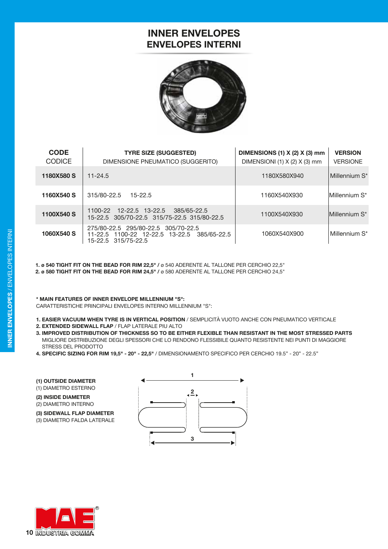### **INNER ENVELOPES ENVELOPES INTERNI**



| <b>CODE</b><br><b>CODICE</b> | <b>TYRE SIZE (SUGGESTED)</b><br>DIMENSIONE PNEUMATICO (SUGGERITO)                                         | DIMENSIONS (1) X (2) X (3) mm<br>DIMENSIONI (1) $X$ (2) $X$ (3) mm | <b>VERSION</b><br><b>VERSIONE</b> |
|------------------------------|-----------------------------------------------------------------------------------------------------------|--------------------------------------------------------------------|-----------------------------------|
| 1180X580 S                   | $11 - 24.5$                                                                                               | 1180X580X940                                                       | Millennium S*                     |
| 1160X540 S                   | $315/80 - 22.5$<br>$15 - 22.5$                                                                            | 1160X540X930                                                       | Millennium S*                     |
| 1100X540 S                   | 1100-22 12-22.5 13-22.5<br>385/65-22.5<br>15-22.5 305/70-22.5 315/75-22.5 315/80-22.5                     | 1100X540X930                                                       | Millennium S*                     |
| 1060X540 S                   | 275/80-22.5 295/80-22.5 305/70-22.5<br>11-22.5 1100-22 12-22.5 13-22.5 385/65-22.5<br>15-22.5 315/75-22.5 | 1060X540X900                                                       | Millennium S*                     |

**1. ø 540 TIGHT FIT ON THE BEAD FOR RIM 22,5" /** ø 540 ADERENTE AL TALLONE PER CERCHIO 22,5" **2. ø 580 TIGHT FIT ON THE BEAD FOR RIM 24,5" /** ø 580 ADERENTE AL TALLONE PER CERCHIO 24,5"

### **\* MAIN FEATURES OF INNER ENVELOPE MILLENNIUM "S":**

CARATTERISTICHE PRINCIPALI ENVELOPES INTERNO MILLENNIUM "S":

- **1. EASIER VACUUM WHEN TYRE IS IN VERTICAL POSITION** / SEMPLICITÀ VUOTO ANCHE CON PNEUMATICO VERTICALE
- **2. EXTENDED SIDEWALL FLAP** / FLAP LATERALE PIU ALTO
- **3. IMPROVED DISTRIBUTION OF THICKNESS SO TO BE EITHER FLEXIBLE THAN RESISTANT IN THE MOST STRESSED PARTS** MIGLIORE DISTRIBUZIONE DEGLI SPESSORI CHE LO RENDONO FLESSIBILE QUANTO RESISTENTE NEI PUNTI DI MAGGIORE STRESS DEL PRODOTTO
- **4. SPECIFIC SIZING FOR RIM 19,5" 20" 22,5"** / DIMENSIONAMENTO SPECIFICO PER CERCHIO 19.5" 20" 22.5"

**(1) OUTSIDE DIAMETER**

(1) DIAMETRO ESTERNO

**(2) INSIDE DIAMETER** (2) DIAMETRO INTERNO

**(3) SIDEWALL FLAP DIAMETER** (3) DIAMETRO FALDA LATERALE



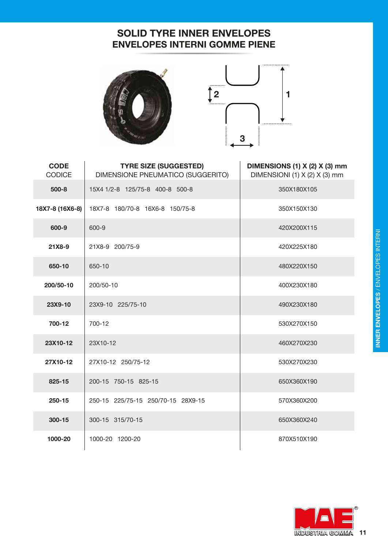### **SOLID TYRE INNER ENVELOPES ENVELOPES INTERNI GOMME PIENE**





| <b>CODE</b><br><b>CODICE</b> | <b>TYRE SIZE (SUGGESTED)</b><br>DIMENSIONE PNEUMATICO (SUGGERITO) | DIMENSIONS (1) X (2) X (3) mm<br>DIMENSIONI (1) $X$ (2) $X$ (3) mm |
|------------------------------|-------------------------------------------------------------------|--------------------------------------------------------------------|
| $500 - 8$                    | 15X4 1/2-8 125/75-8 400-8 500-8                                   | 350X180X105                                                        |
| 18X7-8 (16X6-8)              | 18X7-8 180/70-8 16X6-8 150/75-8                                   | 350X150X130                                                        |
| 600-9                        | 600-9                                                             | 420X200X115                                                        |
| 21X8-9                       | 21X8-9 200/75-9                                                   | 420X225X180                                                        |
| 650-10                       | 650-10                                                            | 480X220X150                                                        |
| 200/50-10                    | 200/50-10                                                         | 400X230X180                                                        |
| 23X9-10                      | 23X9-10 225/75-10                                                 | 490X230X180                                                        |
| 700-12                       | 700-12                                                            | 530X270X150                                                        |
| 23X10-12                     | 23X10-12                                                          | 460X270X230                                                        |
| 27X10-12                     | 27X10-12 250/75-12                                                | 530X270X230                                                        |
| 825-15                       | 200-15 750-15 825-15                                              | 650X360X190                                                        |
| $250 - 15$                   | 250-15 225/75-15 250/70-15 28X9-15                                | 570X360X200                                                        |
| 300-15                       | 300-15 315/70-15                                                  | 650X360X240                                                        |
| 1000-20                      | 1000-20 1200-20                                                   | 870X510X190                                                        |

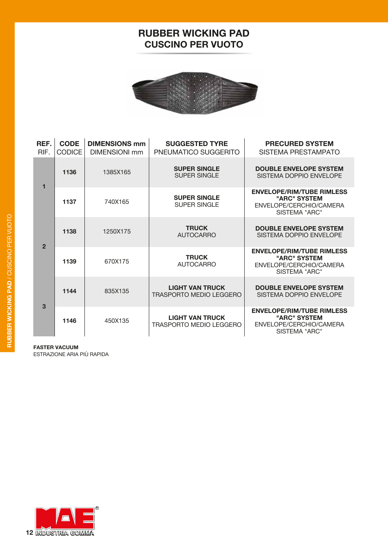### **RUBBER WICKING PAD CUSCINO PER VUOTO**



| REF.<br>RIF.   | <b>CODE</b><br><b>CODICE</b> | <b>DIMENSIONS mm</b><br><b>DIMENSIONI mm</b> | <b>SUGGESTED TYRE</b><br>PNEUMATICO SUGGERITO            | <b>PRECURED SYSTEM</b><br>SISTEMA PRESTAMPATO                                                |  |
|----------------|------------------------------|----------------------------------------------|----------------------------------------------------------|----------------------------------------------------------------------------------------------|--|
| 1              | 1136                         | 1385X165                                     | <b>SUPER SINGLE</b><br>SUPER SINGLE                      | <b>DOUBLE ENVELOPE SYSTEM</b><br>SISTEMA DOPPIO ENVELOPE                                     |  |
|                | 1137                         | 740X165                                      | <b>SUPER SINGLE</b><br><b>SUPER SINGLE</b>               | <b>ENVELOPE/RIM/TUBE RIMLESS</b><br>"ARC" SYSTEM<br>ENVELOPE/CERCHIO/CAMERA<br>SISTEMA "ARC" |  |
| $\overline{2}$ | 1138                         | 1250X175                                     | <b>TRUCK</b><br><b>AUTOCARRO</b>                         | <b>DOUBLE ENVELOPE SYSTEM</b><br>SISTEMA DOPPIO ENVELOPE                                     |  |
|                | 1139                         | 670X175                                      | <b>TRUCK</b><br><b>AUTOCARRO</b>                         | <b>ENVELOPE/RIM/TUBE RIMLESS</b><br>"ARC" SYSTEM<br>ENVELOPE/CERCHIO/CAMERA<br>SISTEMA "ARC" |  |
| 3              | 1144                         | 835X135                                      | <b>LIGHT VAN TRUCK</b><br>TRASPORTO MEDIO LEGGERO        | <b>DOUBLE ENVELOPE SYSTEM</b><br>SISTEMA DOPPIO ENVELOPE                                     |  |
|                | 1146                         | 450X135                                      | <b>LIGHT VAN TRUCK</b><br><b>TRASPORTO MEDIO LEGGERO</b> | <b>ENVELOPE/RIM/TUBE RIMLESS</b><br>"ARC" SYSTEM<br>ENVELOPE/CERCHIO/CAMERA<br>SISTEMA "ARC" |  |

**FASTER VACUUM**

ESTRAZIONE ARIA PIÙ RAPIDA

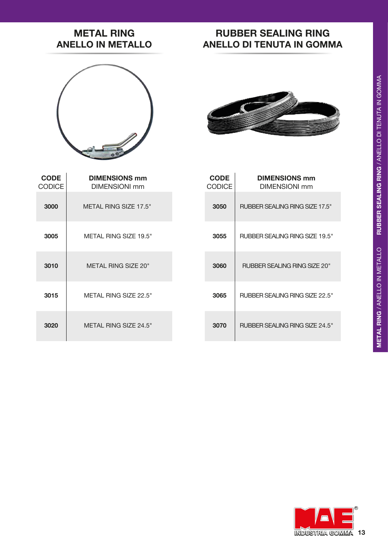# RUBBER SEALING RING / ANELLO DI TENUTA IN GOMMA **METAL RING** / ANELLO IN METALLO **RUBBER SEALING RING** / ANELLO DI TENUTA IN GOMMA METAL RING / ANELLO IN METALLO

### **METAL RING ANELLO IN METALLO**

### **RUBBER SEALING RING ANELLO DI TENUTA IN GOMMA**





| <b>CODE</b><br><b>CODICE</b> | <b>DIMENSIONS mm</b><br><b>DIMENSIONI</b> mm | <b>CODE</b><br><b>CODICE</b> | <b>DIMENSIONS mm</b><br>DIMENSIONI mm |
|------------------------------|----------------------------------------------|------------------------------|---------------------------------------|
| 3000                         | METAL RING SIZE 17.5"                        | 3050                         | <b>RUBBER SEALING RING SIZE 17.5"</b> |
| 3005                         | METAL RING SIZE 19.5"                        | 3055                         | <b>RUBBER SEALING RING SIZE 19.5"</b> |
| 3010                         | METAL RING SIZE 20"                          | 3060                         | <b>RUBBER SEALING RING SIZE 20"</b>   |
| 3015                         | METAL RING SIZE 22.5"                        | 3065                         | <b>RUBBER SEALING RING SIZE 22.5"</b> |
| 3020                         | METAL RING SIZE 24.5"                        | 3070                         | <b>RUBBER SEALING RING SIZE 24.5"</b> |

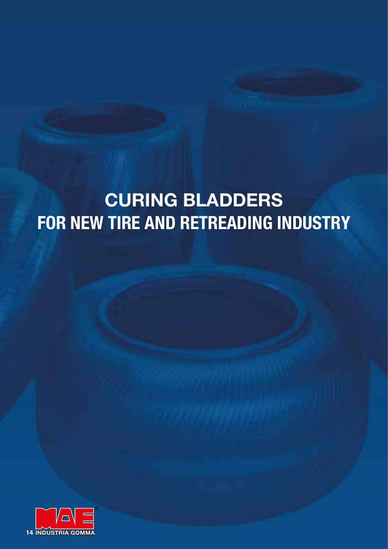# **CURING BLADDERS FOR NEW TIRE AND RETREADING INDUSTRY**

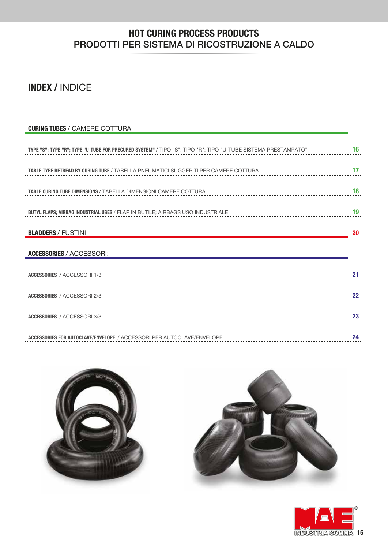### **HOT CURING PROCESS PRODUCTS** PRODOTTI PER SISTEMA DI RICOSTRUZIONE A CALDO

### **INDEX /** INDICE

| <b>CURING TUBES / CAMERE COTTURA:</b>                                                                         |    |
|---------------------------------------------------------------------------------------------------------------|----|
|                                                                                                               |    |
| TYPE "S"; TYPE "R"; TYPE "U-TUBE FOR PRECURED SYSTEM" / TIPO "S"; TIPO "R"; TIPO "U-TUBE SISTEMA PRESTAMPATO" | 16 |
|                                                                                                               |    |
| <b>TABLE TYRE RETREAD BY CURING TUBE / TABELLA PNEUMATICI SUGGERITI PER CAMERE COTTURA</b>                    | 17 |
|                                                                                                               |    |
| TABLE CURING TUBE DIMENSIONS / TABELLA DIMENSIONI CAMERE COTTURA                                              | 18 |
|                                                                                                               |    |
| <b>BUTYL FLAPS; AIRBAG INDUSTRIAL USES / FLAP IN BUTILE; AIRBAGS USO INDUSTRIALE</b>                          | 19 |
|                                                                                                               |    |
| <b>BLADDERS / FUSTINI</b>                                                                                     | 20 |
|                                                                                                               |    |
| <b>ACCESSORIES / ACCESSORI:</b>                                                                               |    |
|                                                                                                               |    |
| <b>ACCESSORIES / ACCESSORI 1/3</b>                                                                            | 21 |
|                                                                                                               |    |
| <b>ACCESSORIES / ACCESSORI 2/3</b>                                                                            | 22 |
|                                                                                                               |    |
| ACCESSORIES / ACCESSORI 3/3                                                                                   | 23 |
|                                                                                                               |    |
| ACCESSORIES FOR AUTOCLAVE/ENVELOPE / ACCESSORI PER AUTOCLAVE/ENVELOPE                                         | 24 |





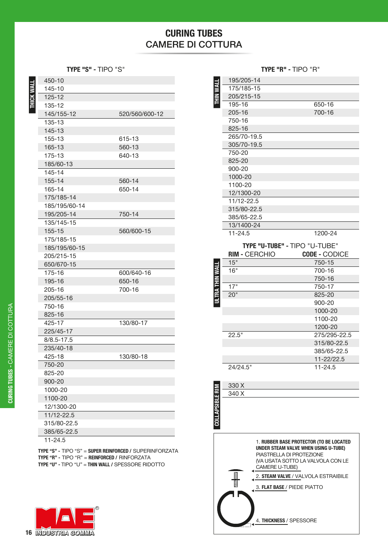### **CURING TUBES** CAMERE DI COTTURA

**TYPE "S" -** TIPO "S" **TYPE "R" -** TIPO "R"

**THICK WALL**

THICK WALL

| 450-10         |                |
|----------------|----------------|
| 145-10         |                |
| 125-12         |                |
| 135-12         |                |
| 145/155-12     | 520/560/600-12 |
| 135-13         |                |
| 145-13         |                |
| 155-13         | 615-13         |
| 165-13         | 560-13         |
| 175-13         | 640-13         |
| 185/60-13      |                |
| 145-14         |                |
| 155-14         | 560-14         |
| 165-14         | 650-14         |
| 175/185-14     |                |
| 185/195/60-14  |                |
| 195/205-14     | 750-14         |
| 135/145-15     |                |
| 155-15         | 560/600-15     |
| 175/185-15     |                |
| 185/195/60-15  |                |
| 205/215-15     |                |
| 650/670-15     |                |
| 175-16         | 600/640-16     |
| 195-16         | 650-16         |
| 205-16         | 700-16         |
| 205/55-16      |                |
| 750-16         |                |
| 825-16         |                |
| 425-17         | 130/80-17      |
| 225/45-17      |                |
| $8/8.5 - 17.5$ |                |
| 235/40-18      |                |
| 425-18         | 130/80-18      |
| 750-20         |                |
| 825-20         |                |
| 900-20         |                |
| 1000-20        |                |
| 1100-20        |                |
| 12/1300-20     |                |
| 11/12-22.5     |                |
| 315/80-22.5    |                |
| 385/65-22.5    |                |
| $11 - 24.5$    |                |

**TYPE "S" -** TIPO "S" = **SUPER REINFORCED /** SUPERINFORZATA **TYPE "R" -** TIPO "R" = **REINFORCED /** RINFORZATA **TYPE "U" -** TIPO "U" = **THIN WALL /** SPESSORE RIDOTTO



|                        | 195/205-14           |                               |
|------------------------|----------------------|-------------------------------|
|                        | 175/185-15           |                               |
| <b>THIN WALL</b>       | 205/215-15           |                               |
|                        | 195-16               | 650-16                        |
|                        | 205-16               | 700-16                        |
|                        | 750-16               |                               |
|                        | 825-16               |                               |
|                        | 265/70-19.5          |                               |
|                        | 305/70-19.5          |                               |
|                        | 750-20               |                               |
|                        | 825-20               |                               |
|                        | 900-20               |                               |
|                        | 1000-20              |                               |
|                        | 1100-20              |                               |
|                        | 12/1300-20           |                               |
|                        | 11/12-22.5           |                               |
|                        | 315/80-22.5          |                               |
|                        | 385/65-22.5          |                               |
|                        | 13/1400-24           |                               |
|                        | $11 - 24.5$          | 1200-24                       |
|                        |                      |                               |
|                        |                      | TYPE "U-TUBE" - TIPO "U-TUBE" |
|                        |                      |                               |
|                        | <b>RIM - CERCHIO</b> | <b>CODE - CODICE</b>          |
|                        | 15"                  | 750-15                        |
|                        | 16"                  | 700-16                        |
|                        |                      | 750-16                        |
|                        | 17"                  | 750-17                        |
|                        | 20"                  | 825-20                        |
| ULTRA THIN WALL        |                      | 900-20                        |
|                        |                      | 1000-20                       |
|                        |                      | 1100-20                       |
|                        |                      | 1200-20                       |
|                        | 22.5"                | 275/295-22.5                  |
|                        |                      | 315/80-22.5                   |
|                        |                      | 385/65-22.5                   |
|                        |                      | 11-22/22.5                    |
|                        | 24/24.5"             | 11-24.5                       |
|                        |                      |                               |
|                        | 330 X                |                               |
|                        | 340 X                |                               |
|                        |                      |                               |
| <b>COLLAPSIBLE RIM</b> |                      |                               |



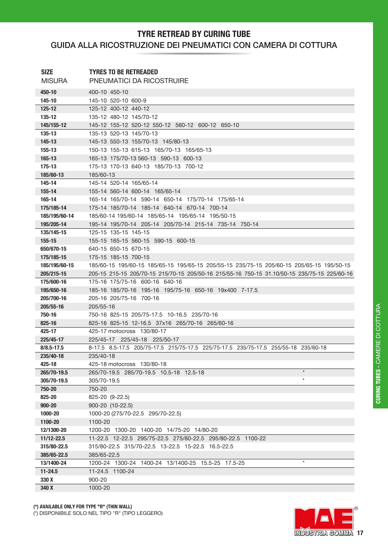### **TYRE RETREAD BY CURING TUBE** GUIDA ALLA RICOSTRUZIONE DEI PNEUMATICI CON CAMERA DI COTTURA

| <b>SIZE</b>                 | <b>TYRES TO BE RETREADED</b>                                                                     |
|-----------------------------|--------------------------------------------------------------------------------------------------|
| <b>MISURA</b>               | <b>PNEUMATICI DA RICOSTRUIRE</b>                                                                 |
| 450-10                      | 400-10 450-10                                                                                    |
| 145-10                      | 145-10 520-10 600-9                                                                              |
| $125 - 12$                  | 125-12 400-12 440-12                                                                             |
| 135-12                      | 135-12 480-12 145/70-12                                                                          |
| 145/155-12                  | 145-12 155-12 520-12 550-12 560-12 600-12 650-10                                                 |
| 135-13                      | 135-13 520-13 145/70-13                                                                          |
| 145-13                      | 145-13 550-13 155/70-13 145/80-13                                                                |
| 155-13                      | 150-13 155-13 615-13 165/70-13 165/65-13                                                         |
| 165-13                      | 165-13 175/70-13 560-13 590-13 600-13                                                            |
| 175-13                      | 175-13 170-13 640-13 185/70-13 700-12                                                            |
| 185/60-13                   | 185/60-13                                                                                        |
| 145-14                      | 145-14 520-14 165/65-14                                                                          |
| 155-14                      | 155-14 560-14 600-14 165/65-14                                                                   |
| 165-14                      | 165-14 165/70-14 590-14 650-14 175/70-14 175/65-14                                               |
| 175/185-14                  | 175-14 185/70-14 185-14 640-14 670-14 700-14                                                     |
| 185/195/60-14               | 185/60-14 195/60-14 185/65-14 195/65-14 195/50-15                                                |
| 195/205-14                  | 195-14 195/70-14 205-14 205/70-14 215-14 735-14 750-14                                           |
| 135/145-15                  | 125-15 135-15 145-15                                                                             |
| 155-15                      | 155-15 165-15 560-15 590-15 600-15                                                               |
| 650/670-15                  | 640-15 650-15 670-15                                                                             |
| 175/185-15                  | 175-15 185-15 700-15                                                                             |
| 185/195/60-15               | 185/60-15 195/60-15 185/65-15 195/65-15 205/55-15 235/75-15 205/60-15 205/65-15 195/50-15        |
| 205/215-15                  | 205-15 215-15 205/70-15 215/70-15 205/50-16 215/55-16 750-15 31.10/50-15 235/75-15 225/60-16     |
| 175/600-16                  | 175-16 175/75-16 600-16 640-16                                                                   |
| 195/650-16                  | 185-16 185/70-16 195-16 195/75-16 650-16 19x400 7-17.5                                           |
| 205/700-16                  | 205-16 205/75-16 700-16                                                                          |
| 205/55-16                   | 205/55-16                                                                                        |
| 750-16                      | 750-16 825-15 205/75-17.5 10-16.5 235/70-16                                                      |
| 825-16                      | 825-16 825-15 12-16.5 37x16 265/70-16 265/60-16                                                  |
| 425-17                      | 425-17 motocross 130/80-17                                                                       |
| 225/45-17                   | 225/45-17 225/45-18 225/50-17                                                                    |
| $8/8.5 - 17.5$<br>235/40-18 | 8-17.5 8.5-17.5 205/75-17.5 215/75-17.5 225/75-17.5 235/75-17.5 255/55-18 235/60-18<br>235/40-18 |
| 425-18                      | 425-18 motocross 130/80-18                                                                       |
| 265/70-19.5                 | $\star$<br>265/70-19.5 285/70-19.5 10.5-18 12.5-18                                               |
| 305/70-19.5                 | $\star$<br>305/70-19.5                                                                           |
| 750-20                      | 750-20                                                                                           |
| 825-20                      | 825-20 (9-22.5)                                                                                  |
| 900-20                      | 900-20 (10-22.5)                                                                                 |
| 1000-20                     | 1000-20 (275/70-22.5 295/70-22.5)                                                                |
| 1100-20                     | 1100-20                                                                                          |
| 12/1300-20                  | 1200-20 1300-20 1400-20 14/75-20 14/80-20                                                        |
| 11/12-22.5                  | 11-22.5 12-22.5 295/75-22.5 275/80-22.5 295/80-22.5 1100-22                                      |
| 315/80-22.5                 | 315/80-22.5 315/70-22.5 13-22.5 15-22.5 16.5-22.5                                                |
| 385/65-22.5                 | 385/65-22.5                                                                                      |
| 13/1400-24                  | $\star$<br>1200-24 1300-24 1400-24 13/1400-25 15.5-25 17.5-25                                    |
| $11 - 24.5$                 | 11-24.5 1100-24                                                                                  |
| 330 X                       | 900-20                                                                                           |
| 340 X                       | 1000-20                                                                                          |

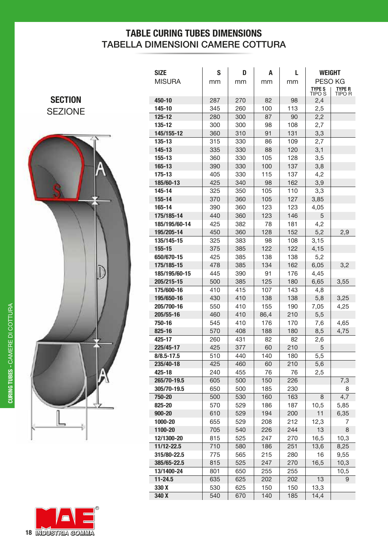### **TABLE CURING TUBES DIMENSIONS** TABELLA DIMENSIONI CAMERE COTTURA

**SECTION** SEZIONE



| R                         |
|---------------------------|
| <b>18 INDUSTRIA COMMA</b> |

| <b>SIZE</b>          | S          | D          | Α          | L          | <b>WEIGHT</b>            |                         |
|----------------------|------------|------------|------------|------------|--------------------------|-------------------------|
| <b>MISURA</b>        | mm         | mm         | mm         | mm         | PESO KG                  |                         |
|                      |            |            |            |            | <b>TYPE S</b>            | <b>TYPE R</b><br>TIPO R |
| 450-10               | 287        | 270        | 82         | 98         | TIPO <sub>S</sub><br>2,4 |                         |
| 145-10               | 345        | 260        | 100        | 113        | 2,5                      |                         |
| 125-12               | 280        | 300        | 87         | 90         | 2,2                      |                         |
| 135-12               | 300        | 300        | 98         | 108        | 2,7                      |                         |
| 145/155-12           | 360        | 310        | 91         | 131        | 3,3                      |                         |
| 135-13               | 315        | 330        | 86         | 109        | 2,7                      |                         |
| 145-13               | 335        | 330        | 88         | 120        | 3,1                      |                         |
| 155-13               | 360        | 330        | 105        | 128        | 3,5                      |                         |
| 165-13               | 390        | 330        | 100        | 137        | 3,8                      |                         |
| 175-13               | 405        | 330        | 115        | 137        | 4,2                      |                         |
| 185/60-13            | 425        | 340        | 98         | 162        | 3,9                      |                         |
| 145-14               | 325        | 350        | 105        | 110        | 3,3                      |                         |
| 155-14               | 370        | 360        | 105        | 127        | 3,85                     |                         |
| 165-14               | 390        | 360        | 123        | 123        | 4,05                     |                         |
| 175/185-14           | 440        | 360        | 123        | 146        | 5                        |                         |
| 185/195/60-14        | 425        | 382        | 78         | 181        | 4,2                      |                         |
| 195/205-14           | 450        | 360        | 128        | 152        | 5,2                      | 2,9                     |
| 135/145-15           | 325        | 383        | 98         | 108        | 3,15                     |                         |
| 155-15               | 375        | 385        | 122        | 122        | 4,15                     |                         |
| 650/670-15           | 425        | 385        | 138        | 138        | 5,2                      |                         |
| 175/185-15           | 478        | 385        | 134        | 162        | 6,05                     | 3,2                     |
| 185/195/60-15        | 445        | 390        | 91         | 176        | 4,45                     |                         |
| 205/215-15           | 500        | 385        | 125        | 180        | 6,65                     | 3,55                    |
| 175/600-16           | 410        | 415        | 107        | 143        | 4,8                      |                         |
| 195/650-16           | 430        | 410        | 138        | 138        | 5,8                      | 3,25                    |
| 205/700-16           | 550        | 410        | 155        | 190        | 7,05                     | 4,25                    |
| 205/55-16            | 460        | 410        | 86,4       | 210        | 5,5                      |                         |
| 750-16               | 545        | 410        | 176        | 170        | 7,6                      | 4,65                    |
| 825-16               | 570        | 408        | 188        | 180        | 8,5                      | 4,75                    |
| 425-17               | 260        | 431        | 82         | 82         | 2,6                      |                         |
| 225/45-17            | 425        | 377        | 60         | 210        | 5                        |                         |
| $8/8.5 - 17.5$       | 510        | 440        | 140        | 180        | 5,5                      |                         |
| 235/40-18            | 425        | 460        | 60         | 210        | 5,6                      |                         |
| 425-18               | 240        | 455        | 76         | 76         | 2,5                      |                         |
| 265/70-19.5          | 605        | 500        | 150        | 226        |                          | 7,3                     |
| 305/70-19.5          | 650        | 500        | 185        | 230        |                          | 8                       |
| 750-20               | 500        | 530        | 160        | 163        | 8                        | 4,7                     |
| 825-20               | 570        | 529        | 186        | 187        | 10,5                     | 5,85                    |
| 900-20               | 610        | 529        | 194        | 200        | 11                       | 6,35                    |
| 1000-20              | 655        | 529        | 208        | 212        | 12,3                     | 7                       |
| 1100-20              | 705        | 540        | 226        | 244        | 13                       | 8                       |
| 12/1300-20           | 815        | 525        | 247        | 270        | 16,5                     | 10,3                    |
| 11/12-22.5           | 710        | 580        | 186        | 251        | 13,6                     | 8,25                    |
| 315/80-22.5          | 775        | 565        | 215        | 280        | 16                       | 9,55                    |
| 385/65-22.5          | 815        | 525        | 247        | 270        | 16,5                     | 10,3                    |
| 13/1400-24           | 801        | 650        | 255        | 255        | 13                       | 10,5                    |
| $11 - 24.5$<br>330 X | 635<br>530 | 625<br>625 | 202<br>150 | 202<br>150 | 13,3                     | 9                       |
| 340 X                | 540        | 670        | 140        | 185        | 14,4                     |                         |
|                      |            |            |            |            |                          |                         |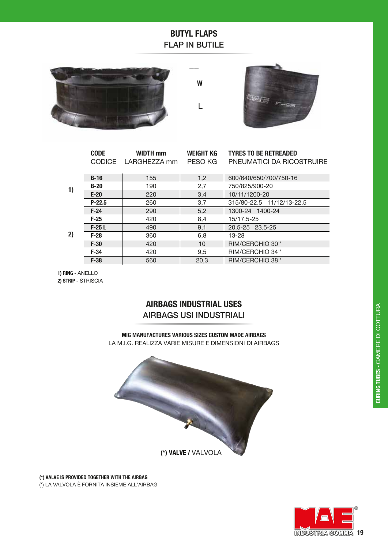### **BUTYL FLAPS FLAP IN BUTILE**







|    | <b>CODE</b> | <b>WIDTH mm</b><br>CODICE LARGHEZZA mm | <b>WEIGHT KG</b><br>PESO KG | <b>TYRES TO BE RETREADED</b><br>PNEUMATICI DA RICOSTRUIRE |  |
|----|-------------|----------------------------------------|-----------------------------|-----------------------------------------------------------|--|
|    | $B-16$      | 155                                    |                             | 600/640/650/700/750-16                                    |  |
|    | $B-20$      | 190                                    | 1,2<br>2,7                  | 750/825/900-20                                            |  |
| 1) | $E-20$      | 220                                    | 3,4                         | 10/11/1200-20                                             |  |
|    | $P-22.5$    | 260                                    | 3,7                         | 315/80-22.5 11/12/13-22.5                                 |  |
|    | $F-24$      | 290                                    | 5,2                         | 1300-24 1400-24                                           |  |
| 2) | $F-25$      | 420                                    | 8,4                         | 15/17.5-25                                                |  |
|    | $F-25L$     | 490                                    | 9,1                         | 20.5-25 23.5-25                                           |  |
|    | $F-28$      | 360                                    | 6,8                         | $13 - 28$                                                 |  |
|    | $F-30$      | 420                                    | 10                          | RIM/CERCHIO 30"                                           |  |
|    | $F-34$      | 420                                    | 9,5                         | RIM/CERCHIO 34"                                           |  |
|    | $F-38$      | 560                                    | 20.3                        | RIM/CERCHIO 38"                                           |  |
|    |             |                                        |                             |                                                           |  |

1) RING - ANELLO 2) STRIP - STRISCIA

### **AIRBAGS INDUSTRIAL USES AIRBAGS USI INDUSTRIALI**

MIG MANUFACTURES VARIOUS SIZES CUSTOM MADE AIRBAGS LA M.I.G. REALIZZA VARIE MISURE E DIMENSIONI DI AIRBAGS



(\*) VALVE IS PROVIDED TOGETHER WITH THE AIRBAG (\*) LA VALVOLA È FORNITA INSIEME ALL'AIRBAG

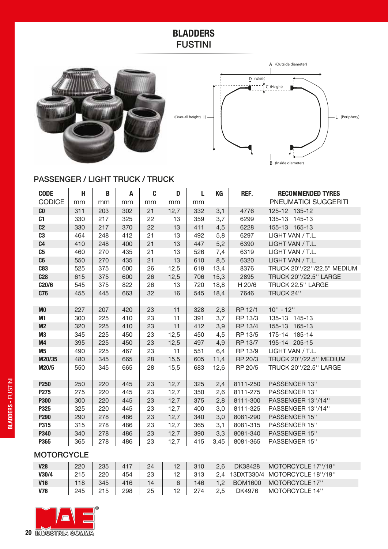### **BLADDERS** FUSTINI





### PASSENGER / LIGHT TRUCK / TRUCK

| <b>CODE</b>      | H   | B   | A   | C  | D    | L   | KG   | REF.     | <b>RECOMMENDED TYRES</b>   |  |
|------------------|-----|-----|-----|----|------|-----|------|----------|----------------------------|--|
| <b>CODICE</b>    | mm  | mm  | mm  | mm | mm   | mm  |      |          | PNEUMATICI SUGGERITI       |  |
| C <sub>0</sub>   | 311 | 203 | 302 | 21 | 12,7 | 332 | 3,1  | 4776     | 125-12 135-12              |  |
| C1               | 330 | 217 | 325 | 22 | 13   | 359 | 3,7  | 6299     | 135-13 145-13              |  |
| C <sub>2</sub>   | 330 | 217 | 370 | 22 | 13   | 411 | 4,5  | 6228     | 155-13 165-13              |  |
| C <sub>3</sub>   | 464 | 248 | 412 | 21 | 13   | 492 | 5,8  | 6297     | LIGHT VAN / T.L.           |  |
| C <sub>4</sub>   | 410 | 248 | 400 | 21 | 13   | 447 | 5,2  | 6390     | LIGHT VAN / T.L.           |  |
| C <sub>5</sub>   | 460 | 270 | 435 | 21 | 13   | 526 | 7,4  | 6319     | LIGHT VAN / T.L.           |  |
| C6               | 550 | 270 | 435 | 21 | 13   | 610 | 8,5  | 6320     | LIGHT VAN / T.L.           |  |
| <b>C83</b>       | 525 | 375 | 600 | 26 | 12,5 | 618 | 13,4 | 8376     | TRUCK 20"/22"/22.5" MEDIUM |  |
| C <sub>28</sub>  | 615 | 375 | 600 | 26 | 12,5 | 706 | 15,3 | 2895     | TRUCK 20"/22.5" LARGE      |  |
| C20/6            | 545 | 375 | 822 | 26 | 13   | 720 | 18,8 | H 20/6   | TRUCK 22.5" LARGE          |  |
| <b>C76</b>       | 455 | 445 | 663 | 32 | 16   | 545 | 18,4 | 7646     | TRUCK 24"                  |  |
|                  |     |     |     |    |      |     |      |          |                            |  |
| M <sub>0</sub>   | 227 | 207 | 420 | 23 | 11   | 328 | 2,8  | RP 12/1  | $10" - 12"$                |  |
| M1               | 300 | 225 | 410 | 23 | 11   | 391 | 3,7  | RP 13/3  | 135-13 145-13              |  |
| M <sub>2</sub>   | 320 | 225 | 410 | 23 | 11   | 412 | 3,9  | RP 13/4  | 155-13 165-13              |  |
| M3               | 345 | 225 | 450 | 23 | 12,5 | 450 | 4,5  | RP 13/5  | 175-14 185-14              |  |
| M4               | 395 | 225 | 450 | 23 | 12,5 | 497 | 4,9  | RP 13/7  | 195-14 205-15              |  |
| M <sub>5</sub>   | 490 | 225 | 467 | 23 | 11   | 551 | 6,4  | RP 13/9  | LIGHT VAN / T.L.           |  |
| M20/35           | 480 | 345 | 665 | 28 | 15,5 | 605 | 11,4 | RP 20/3  | TRUCK 20"/22.5" MEDIUM     |  |
| M20/5            | 550 | 345 | 665 | 28 | 15,5 | 683 | 12,6 | RP 20/5  | TRUCK 20"/22.5" LARGE      |  |
| P <sub>250</sub> | 250 | 220 | 445 | 23 | 12,7 | 325 | 2,4  | 8111-250 | PASSENGER 13"              |  |
| P275             | 275 | 220 | 445 | 23 | 12,7 | 350 | 2,6  | 8111-275 | PASSENGER 13"              |  |
| <b>P300</b>      | 300 | 220 | 445 | 23 | 12,7 | 375 | 2,8  | 8111-300 | PASSENGER 13"/14"          |  |
| P325             | 325 | 220 | 445 | 23 | 12,7 | 400 | 3,0  | 8111-325 | PASSENGER 13"/14"          |  |
| P290             | 290 | 278 | 486 | 23 | 12,7 | 340 | 3,0  | 8081-290 | PASSENGER 15"              |  |
| P315             | 315 | 278 | 486 | 23 | 12,7 | 365 | 3,1  | 8081-315 | PASSENGER 15"              |  |
| P340             | 340 | 278 | 486 | 23 | 12,7 | 390 | 3,3  | 8081-340 | PASSENGER 15"              |  |
| P365             | 365 | 278 | 486 | 23 | 12,7 | 415 | 3,45 | 8081-365 | PASSENGER 15"              |  |

### **MOTORCYCLE**

| <b>V28</b> | 220 | 235 | 417 | 24 | 12 | 310 | 2.6 | DK38428        | MOTORCYCLE 17"/18"              |
|------------|-----|-----|-----|----|----|-----|-----|----------------|---------------------------------|
| V30/4      | 215 | 220 | 454 | 23 | 12 | 313 | 2.4 |                | 13DXT330/4   MOTORCYCLE 18"/19" |
| <b>V16</b> | 118 | 345 | 416 | 14 | 6  | 146 | 1.2 | <b>BOM1600</b> | MOTORCYCLE 17"                  |
| <b>V76</b> | 245 | 215 | 298 | 25 | 12 | 274 | 2.5 | DK4976         | MOTORCYCLE 14"                  |

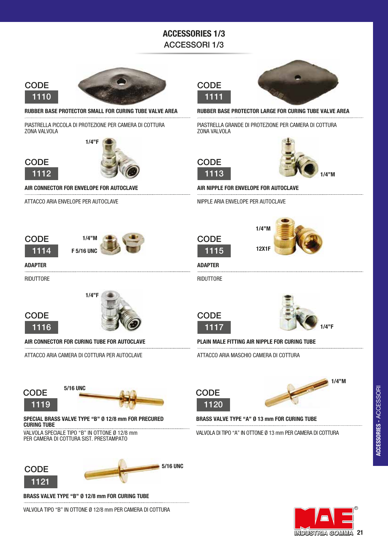### **ACCESSORIES 1/3 ACCESSORI 1/3**



**CODE** 

1112



RUBBER BASE PROTECTOR SMALL FOR CURING TUBE VALVE AREA 

PIASTRELLA PICCOLA DI PROTEZIONE PER CAMERA DI COTTURA ZONA VALVOLA



AIR CONNECTOR FOR ENVELOPE FOR AUTOCLAVE 

ATTACCO ARIA ENVELOPE PER AUTOCLAVE

## **CODE**



1114



**ADAPTER** 

RIDUTTORE





AIR CONNECTOR FOR CURING TUBE FOR AUTOCLAVE

ATTACCO ARIA CAMERA DI COTTURA PER AUTOCLAVE

**5/16 UNC** 

VALVOL A SPECIAL F TIPO "B" IN OTTONE Ø 12/8 mm

PER CAMERA DI COTTURA SIST. PRESTAMPATO





RUBBER BASE PROTECTOR LARGE FOR CURING TUBE VALVE AREA

PIASTRELLA GRANDE DI PROTEZIONE PER CAMERA DI COTTURA ZONA VALVOLA





AIR NIPPLE FOR ENVELOPE FOR AUTOCLAVE

 $1/4'$ 

NIPPLE ARIA ENVELOPE PER AUTOCLAVE



**12X1F** 

RIDUTTORE

**ADAPTER** 





PLAIN MALE FITTING AIR NIPPLE FOR CURING TUBE

ATTACCO ARIA MASCHIO CAMERA DI COTTURA





**BRASS VALVE TYPE "A" Ø 13 mm FOR CURING TUBE** 

VALVOLA DI TIPO "A" IN OTTONE Ø 13 mm PFR CAMERA DI COTTURA



**CODE** 

1119

**CURING TUBE** 



**BRASS VALVE TYPE "B" Ø 12/8 mm FOR CURING TUBE** 

VALVOLA TIPO "B" IN OTTONE Ø 12/8 mm PER CAMERA DI COTTURA

SPECIAL BRASS VALVE TYPE "B" Ø 12/8 mm FOR PRECURED









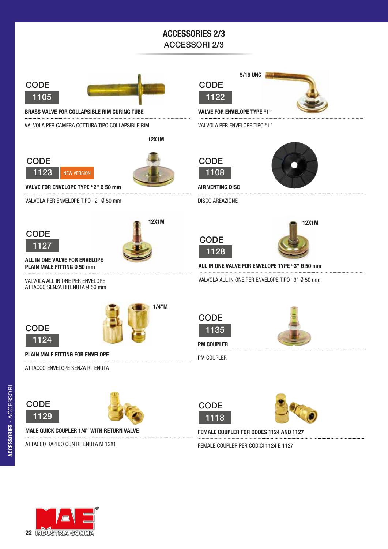### **ACCESSORIES 2/3 ACCESSORI 2/3**



**BRASS VALVE FOR COLLAPSIBLE RIM CURING TUBE** 

VALVOLA PER CAMERA COTTURA TIPO COLLAPSIBLE RIM

**12X1M** 





**VALVE FOR ENVELOPE TYPE "2" Ø 50 mm** 

VALVOLA PER ENVELOPE TIPO "2" Ø 50 mm





ALL IN ONE VALVE FOR ENVELOPE PLAIN MALE FITTING Ø 50 mm

VALVOLA ALL IN ONE PER ENVELOPE ATTACCO SENZA RITENUTA Ø 50 mm



**CODE** 

1129



PLAIN MALE FITTING FOR ENVELOPE

ATTACCO ENVELOPE SENZA RITENUTA



**MALE QUICK COUPLER 1/4" WITH RETURN VALVE** 

ATTACCO RAPIDO CON RITENUTA M 12X1





**VALVE FOR ENVELOPE TYPE "1"** 

VALVOLA PER ENVELOPE TIPO "1"



**AIR VENTING DISC** 

DISCO AREAZIONE









**12X1M** 

ALL IN ONE VALVE FOR ENVELOPE TYPE "3" Ø 50 mm

VALVOLA ALL IN ONE PER ENVELOPE TIPO "3" Ø 50 mm







**PM COUPLER** 

PM COUPLER





FEMALE COUPLER FOR CODES 1124 AND 1127 

FEMALE COUPLER PER CODICI 1124 E 1127

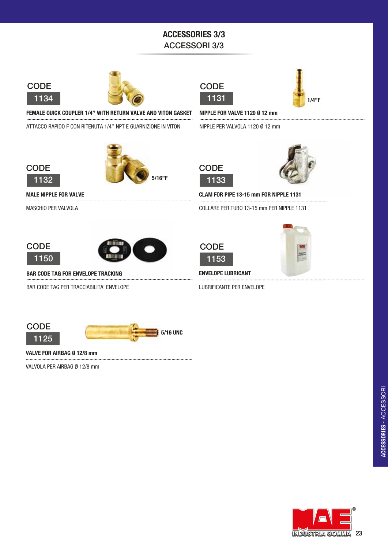### **ACCESSORIES 3/3 ACCESSORI 3/3**



**CODE** 

1132







FEMALE QUICK COUPLER 1/4" WITH RETURN VALVE AND VITON GASKET NIPPLE FOR VALVE 1120 Ø 12 mm

NIPPLE PER VALVOLA 1120 Ø 12 mm



ATTACCO RAPIDO F CON RITENUTA 1/4" NPT E GUARNIZIONE IN VITON

**MALE NIPPLE FOR VALVE** 

MASCHIO PER VALVOLA

1133

**CODE** 



CLAM FOR PIPE 13-15 mm FOR NIPPLE 1131

COLLARE PER TUBO 13-15 mm PER NIPPLE 1131





**BAR CODE TAG FOR ENVELOPE TRACKING** 

BAR CODE TAG PER TRACCIABILITA' ENVELOPE





**ENVELOPE LUBRICANT** 

LUBRIFICANTE PER ENVELOPE





VALVE FOR AIRBAG Ø 12/8 mm 

VALVOLA PER AIRBAG Ø 12/8 mm

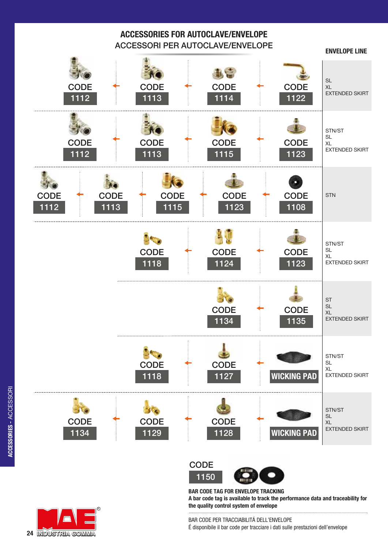

1150 **CODE** 



**BAR CODE TAG FOR ENVELOPE TRACKING A bar code tag is available to track the performance data and traceability for the quality control system of envelope**



BAR CODE PER TRACCIABILITÁ DELL'ENVELOPE É disponibile il bar code per tracciare i dati sulle prestazioni dell'envelope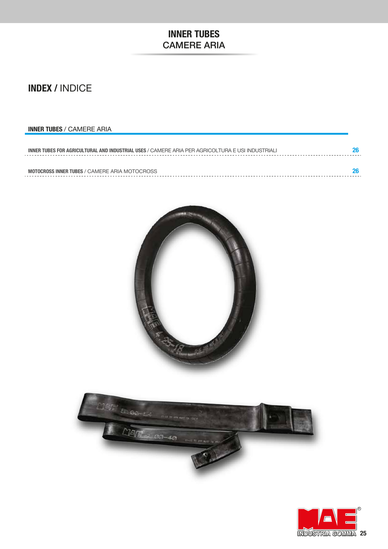### **INNER TUBES CAMERE ARIA**

### **INDEX / INDICE**

### **INNER TUBES / CAMERE ARIA**

| INNER TUBES FOR AGRICULTURAL AND INDUSTRIAL USES / CAMERE ARIA PER AGRICOLTURA E USI INDUSTRIALI |  |  |  |  |  |
|--------------------------------------------------------------------------------------------------|--|--|--|--|--|
|                                                                                                  |  |  |  |  |  |
| <b>MOTOCROSS INNER TUBES / CAMERE ARIA MOTOCROSS</b>                                             |  |  |  |  |  |





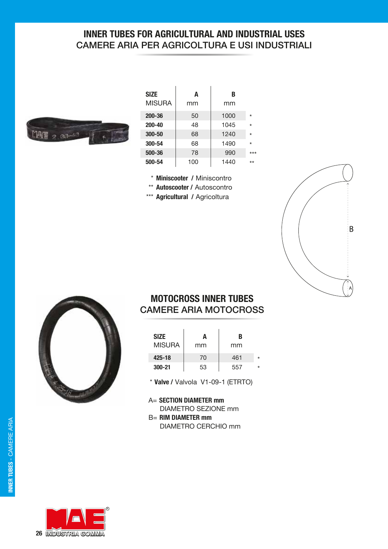### **INNER TUBES FOR AGRICULTURAL AND INDUSTRIAL USES** CAMERE ARIA PER AGRICOLTURA E USI INDUSTRIALI



| <b>SIZE</b><br>MISURA | A<br>mm | В<br>mm |         |
|-----------------------|---------|---------|---------|
| 200-36                | 50      | 1000    | $\star$ |
| $200 - 40$            | 48      | 1045    | $\star$ |
| 300-50                | 68      | 1240    | $\star$ |
| 300-54                | 68      | 1490    | $\star$ |
| 500-36                | 78      | 990     | $***$   |
| 500-54                | 100     | 1440    | $***$   |

- \* Miniscooter / Miniscontro
- \*\* Autoscooter / Autoscontro
- \*\*\* Agricultural / Agricoltura





### **MOTOCROSS INNER TUBES CAMERE ARIA MOTOCROSS**

| <b>SIZE</b><br><b>MISURA</b> | A<br>mm | B<br>mm |   |
|------------------------------|---------|---------|---|
| 425-18                       | 70      | 461     | ź |
| $300 - 21$                   | 53      | 557     | ź |

\* Valve / Valvola V1-09-1 (ETRTO)

A= SECTION DIAMETER mm **DIAMETRO SEZIONE mm B= RIM DIAMETER mm DIAMETRO CERCHIO mm** 

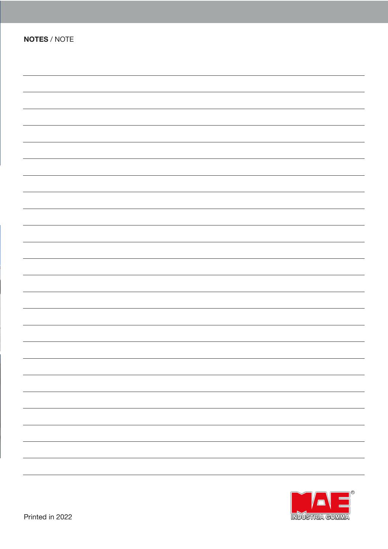| <b>NOTES / NOTE</b> |  |  |
|---------------------|--|--|
|                     |  |  |
|                     |  |  |
|                     |  |  |
|                     |  |  |
|                     |  |  |
|                     |  |  |
|                     |  |  |
|                     |  |  |
|                     |  |  |
|                     |  |  |
|                     |  |  |
|                     |  |  |
|                     |  |  |
|                     |  |  |
|                     |  |  |
|                     |  |  |
|                     |  |  |
|                     |  |  |
|                     |  |  |
|                     |  |  |
|                     |  |  |
|                     |  |  |
|                     |  |  |
|                     |  |  |
|                     |  |  |
|                     |  |  |
|                     |  |  |
|                     |  |  |
|                     |  |  |
|                     |  |  |
|                     |  |  |
|                     |  |  |
|                     |  |  |
|                     |  |  |
|                     |  |  |
|                     |  |  |
|                     |  |  |
|                     |  |  |
|                     |  |  |
|                     |  |  |
|                     |  |  |
|                     |  |  |
|                     |  |  |
|                     |  |  |
|                     |  |  |